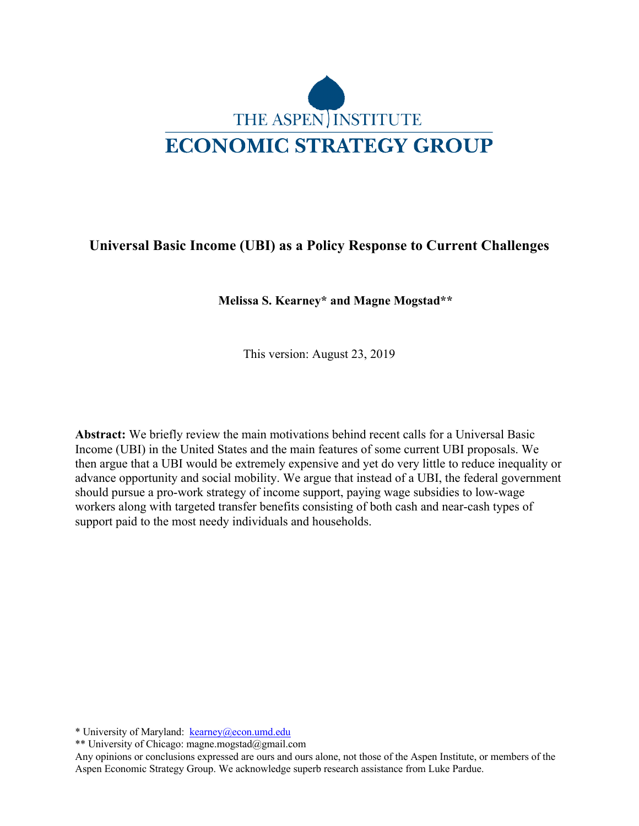

# **Universal Basic Income (UBI) as a Policy Response to Current Challenges**

**Melissa S. Kearney\* and Magne Mogstad\*\***

This version: August 23, 2019

**Abstract:** We briefly review the main motivations behind recent calls for a Universal Basic Income (UBI) in the United States and the main features of some current UBI proposals. We then argue that a UBI would be extremely expensive and yet do very little to reduce inequality or advance opportunity and social mobility. We argue that instead of a UBI, the federal government should pursue a pro-work strategy of income support, paying wage subsidies to low-wage workers along with targeted transfer benefits consisting of both cash and near-cash types of support paid to the most needy individuals and households.

\* University of Maryland: kearney@econ.umd.edu

\*\* University of Chicago: magne.mogstad@gmail.com

Any opinions or conclusions expressed are ours and ours alone, not those of the Aspen Institute, or members of the Aspen Economic Strategy Group. We acknowledge superb research assistance from Luke Pardue.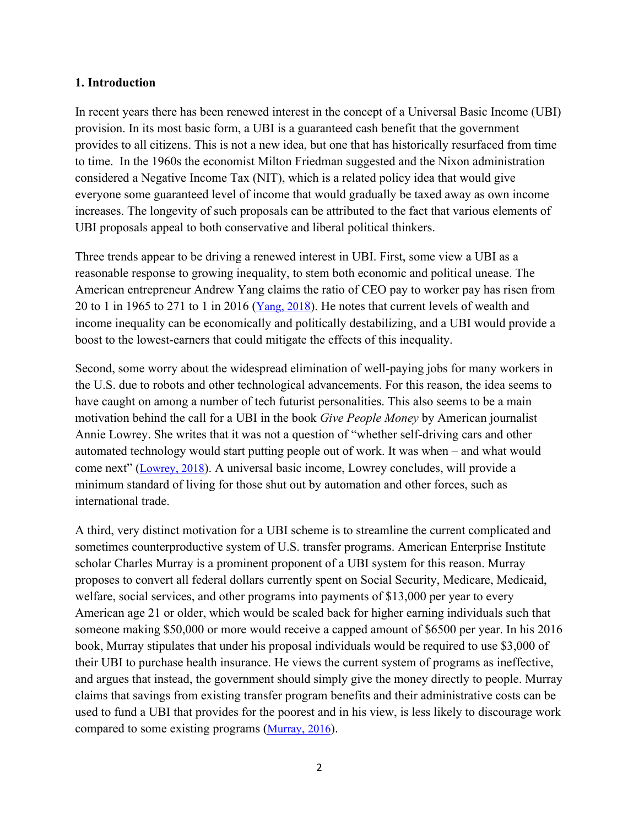#### **1. Introduction**

In recent years there has been renewed interest in the concept of a Universal Basic Income (UBI) provision. In its most basic form, a UBI is a guaranteed cash benefit that the government provides to all citizens. This is not a new idea, but one that has historically resurfaced from time to time. In the 1960s the economist Milton Friedman suggested and the Nixon administration considered a Negative Income Tax (NIT), which is a related policy idea that would give everyone some guaranteed level of income that would gradually be taxed away as own income increases. The longevity of such proposals can be attributed to the fact that various elements of UBI proposals appeal to both conservative and liberal political thinkers.

Three trends appear to be driving a renewed interest in UBI. First, some view a UBI as a reasonable response to growing inequality, to stem both economic and political unease. The American entrepreneur Andrew Yang claims the ratio of CEO pay to worker pay has risen from 20 to 1 in 1965 to 271 to 1 in 2016 ( $\frac{\text{Yang, 2018}}{\text{Ang, 2018}}$ ). He notes that current levels of wealth and income inequality can be economically and politically destabilizing, and a UBI would provide a boost to the lowest-earners that could mitigate the effects of this inequality.

Second, some worry about the widespread elimination of well-paying jobs for many workers in the U.S. due to robots and other technological advancements. For this reason, the idea seems to have caught on among a number of tech futurist personalities. This also seems to be a main motivation behind the call for a UBI in the book *Give People Money* by American journalist Annie Lowrey. She writes that it was not a question of "whether self-driving cars and other automated technology would start putting people out of work. It was when – and what would come next" (Lowrey, 2018). A universal basic income, Lowrey concludes, will provide a minimum standard of living for those shut out by automation and other forces, such as international trade.

A third, very distinct motivation for a UBI scheme is to streamline the current complicated and sometimes counterproductive system of U.S. transfer programs. American Enterprise Institute scholar Charles Murray is a prominent proponent of a UBI system for this reason. Murray proposes to convert all federal dollars currently spent on Social Security, Medicare, Medicaid, welfare, social services, and other programs into payments of \$13,000 per year to every American age 21 or older, which would be scaled back for higher earning individuals such that someone making \$50,000 or more would receive a capped amount of \$6500 per year. In his 2016 book, Murray stipulates that under his proposal individuals would be required to use \$3,000 of their UBI to purchase health insurance. He views the current system of programs as ineffective, and argues that instead, the government should simply give the money directly to people. Murray claims that savings from existing transfer program benefits and their administrative costs can be used to fund a UBI that provides for the poorest and in his view, is less likely to discourage work compared to some existing programs (Murray, 2016).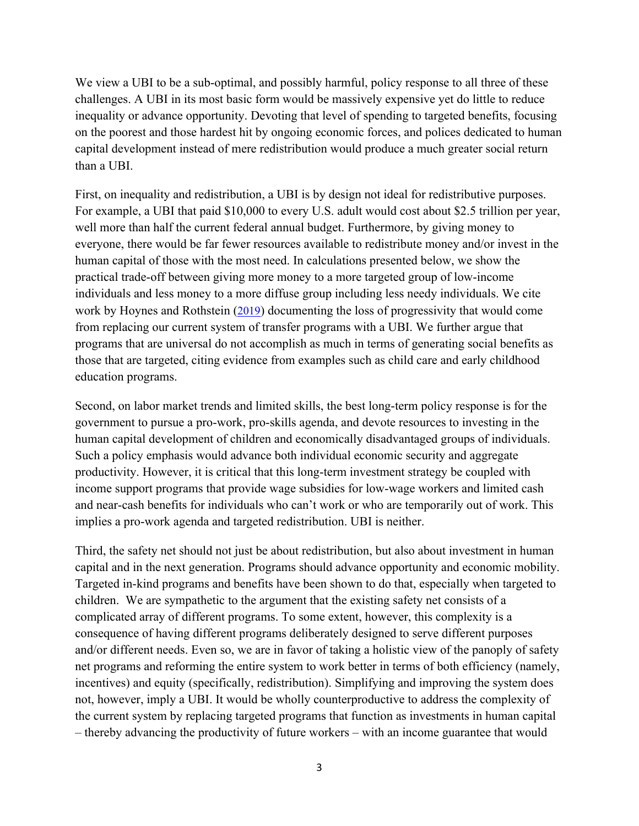We view a UBI to be a sub-optimal, and possibly harmful, policy response to all three of these challenges. A UBI in its most basic form would be massively expensive yet do little to reduce inequality or advance opportunity. Devoting that level of spending to targeted benefits, focusing on the poorest and those hardest hit by ongoing economic forces, and polices dedicated to human capital development instead of mere redistribution would produce a much greater social return than a UBI.

First, on inequality and redistribution, a UBI is by design not ideal for redistributive purposes. For example, a UBI that paid \$10,000 to every U.S. adult would cost about \$2.5 trillion per year, well more than half the current federal annual budget. Furthermore, by giving money to everyone, there would be far fewer resources available to redistribute money and/or invest in the human capital of those with the most need. In calculations presented below, we show the practical trade-off between giving more money to a more targeted group of low-income individuals and less money to a more diffuse group including less needy individuals. We cite work by Hoynes and Rothstein (2019) documenting the loss of progressivity that would come from replacing our current system of transfer programs with a UBI. We further argue that programs that are universal do not accomplish as much in terms of generating social benefits as those that are targeted, citing evidence from examples such as child care and early childhood education programs.

Second, on labor market trends and limited skills, the best long-term policy response is for the government to pursue a pro-work, pro-skills agenda, and devote resources to investing in the human capital development of children and economically disadvantaged groups of individuals. Such a policy emphasis would advance both individual economic security and aggregate productivity. However, it is critical that this long-term investment strategy be coupled with income support programs that provide wage subsidies for low-wage workers and limited cash and near-cash benefits for individuals who can't work or who are temporarily out of work. This implies a pro-work agenda and targeted redistribution. UBI is neither.

Third, the safety net should not just be about redistribution, but also about investment in human capital and in the next generation. Programs should advance opportunity and economic mobility. Targeted in-kind programs and benefits have been shown to do that, especially when targeted to children. We are sympathetic to the argument that the existing safety net consists of a complicated array of different programs. To some extent, however, this complexity is a consequence of having different programs deliberately designed to serve different purposes and/or different needs. Even so, we are in favor of taking a holistic view of the panoply of safety net programs and reforming the entire system to work better in terms of both efficiency (namely, incentives) and equity (specifically, redistribution). Simplifying and improving the system does not, however, imply a UBI. It would be wholly counterproductive to address the complexity of the current system by replacing targeted programs that function as investments in human capital – thereby advancing the productivity of future workers – with an income guarantee that would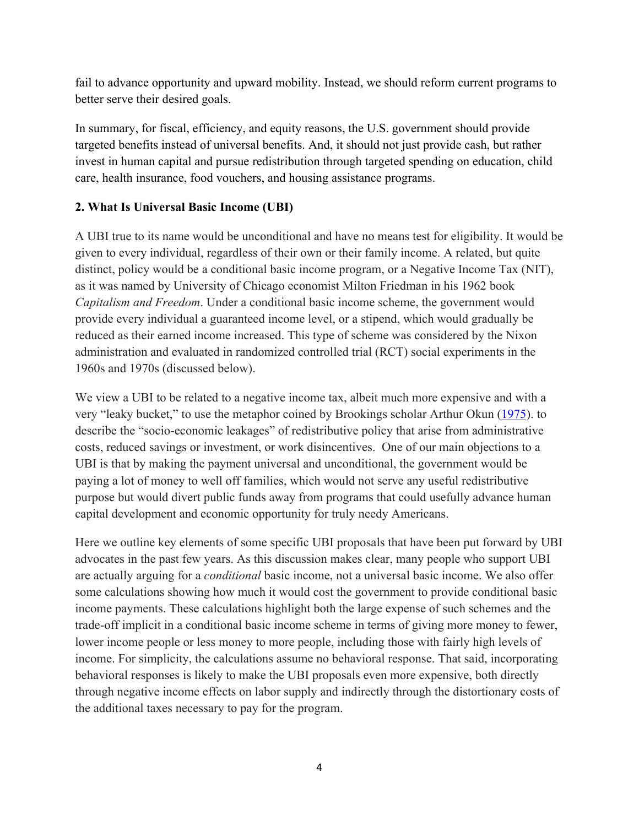fail to advance opportunity and upward mobility. Instead, we should reform current programs to better serve their desired goals.

In summary, for fiscal, efficiency, and equity reasons, the U.S. government should provide targeted benefits instead of universal benefits. And, it should not just provide cash, but rather invest in human capital and pursue redistribution through targeted spending on education, child care, health insurance, food vouchers, and housing assistance programs.

# **2. What Is Universal Basic Income (UBI)**

A UBI true to its name would be unconditional and have no means test for eligibility. It would be given to every individual, regardless of their own or their family income. A related, but quite distinct, policy would be a conditional basic income program, or a Negative Income Tax (NIT), as it was named by University of Chicago economist Milton Friedman in his 1962 book *Capitalism and Freedom*. Under a conditional basic income scheme, the government would provide every individual a guaranteed income level, or a stipend, which would gradually be reduced as their earned income increased. This type of scheme was considered by the Nixon administration and evaluated in randomized controlled trial (RCT) social experiments in the 1960s and 1970s (discussed below).

We view a UBI to be related to a negative income tax, albeit much more expensive and with a very "leaky bucket," to use the metaphor coined by Brookings scholar Arthur Okun (1975). to describe the "socio-economic leakages" of redistributive policy that arise from administrative costs, reduced savings or investment, or work disincentives. One of our main objections to a UBI is that by making the payment universal and unconditional, the government would be paying a lot of money to well off families, which would not serve any useful redistributive purpose but would divert public funds away from programs that could usefully advance human capital development and economic opportunity for truly needy Americans.

Here we outline key elements of some specific UBI proposals that have been put forward by UBI advocates in the past few years. As this discussion makes clear, many people who support UBI are actually arguing for a *conditional* basic income, not a universal basic income. We also offer some calculations showing how much it would cost the government to provide conditional basic income payments. These calculations highlight both the large expense of such schemes and the trade-off implicit in a conditional basic income scheme in terms of giving more money to fewer, lower income people or less money to more people, including those with fairly high levels of income. For simplicity, the calculations assume no behavioral response. That said, incorporating behavioral responses is likely to make the UBI proposals even more expensive, both directly through negative income effects on labor supply and indirectly through the distortionary costs of the additional taxes necessary to pay for the program.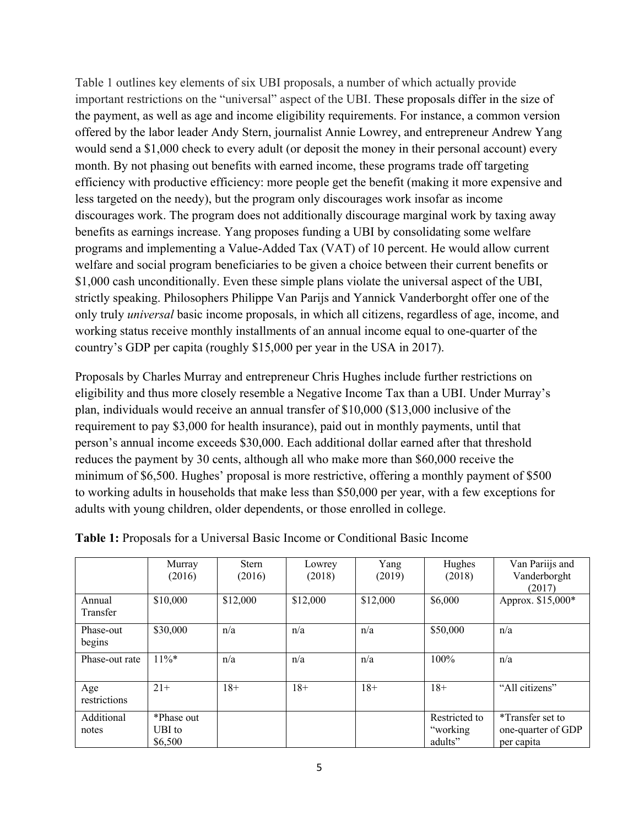Table 1 outlines key elements of six UBI proposals, a number of which actually provide important restrictions on the "universal" aspect of the UBI. These proposals differ in the size of the payment, as well as age and income eligibility requirements. For instance, a common version offered by the labor leader Andy Stern, journalist Annie Lowrey, and entrepreneur Andrew Yang would send a \$1,000 check to every adult (or deposit the money in their personal account) every month. By not phasing out benefits with earned income, these programs trade off targeting efficiency with productive efficiency: more people get the benefit (making it more expensive and less targeted on the needy), but the program only discourages work insofar as income discourages work. The program does not additionally discourage marginal work by taxing away benefits as earnings increase. Yang proposes funding a UBI by consolidating some welfare programs and implementing a Value-Added Tax (VAT) of 10 percent. He would allow current welfare and social program beneficiaries to be given a choice between their current benefits or \$1,000 cash unconditionally. Even these simple plans violate the universal aspect of the UBI, strictly speaking. Philosophers Philippe Van Parijs and Yannick Vanderborght offer one of the only truly *universal* basic income proposals, in which all citizens, regardless of age, income, and working status receive monthly installments of an annual income equal to one-quarter of the country's GDP per capita (roughly \$15,000 per year in the USA in 2017).

Proposals by Charles Murray and entrepreneur Chris Hughes include further restrictions on eligibility and thus more closely resemble a Negative Income Tax than a UBI. Under Murray's plan, individuals would receive an annual transfer of \$10,000 (\$13,000 inclusive of the requirement to pay \$3,000 for health insurance), paid out in monthly payments, until that person's annual income exceeds \$30,000. Each additional dollar earned after that threshold reduces the payment by 30 cents, although all who make more than \$60,000 receive the minimum of \$6,500. Hughes' proposal is more restrictive, offering a monthly payment of \$500 to working adults in households that make less than \$50,000 per year, with a few exceptions for adults with young children, older dependents, or those enrolled in college.

|                     | Murray<br>(2016)  | <b>Stern</b><br>(2016) | Lowrey<br>(2018) | Yang<br>(2019) | Hughes<br>(2018)     | Van Pariijs and<br>Vanderborght<br>(2017) |
|---------------------|-------------------|------------------------|------------------|----------------|----------------------|-------------------------------------------|
| Annual<br>Transfer  | \$10,000          | \$12,000               | \$12,000         | \$12,000       | \$6,000              | Approx. \$15,000*                         |
| Phase-out<br>begins | \$30,000          | n/a                    | n/a              | n/a            | \$50,000             | n/a                                       |
| Phase-out rate      | $11\%*$           | n/a                    | n/a              | n/a            | $100\%$              | n/a                                       |
| Age<br>restrictions | $21+$             | $18+$                  | $18+$            | $18+$          | $18+$                | "All citizens"                            |
| Additional          | *Phase out        |                        |                  |                | Restricted to        | *Transfer set to                          |
| notes               | UBI to<br>\$6,500 |                        |                  |                | "working"<br>adults" | one-quarter of GDP<br>per capita          |

**Table 1:** Proposals for a Universal Basic Income or Conditional Basic Income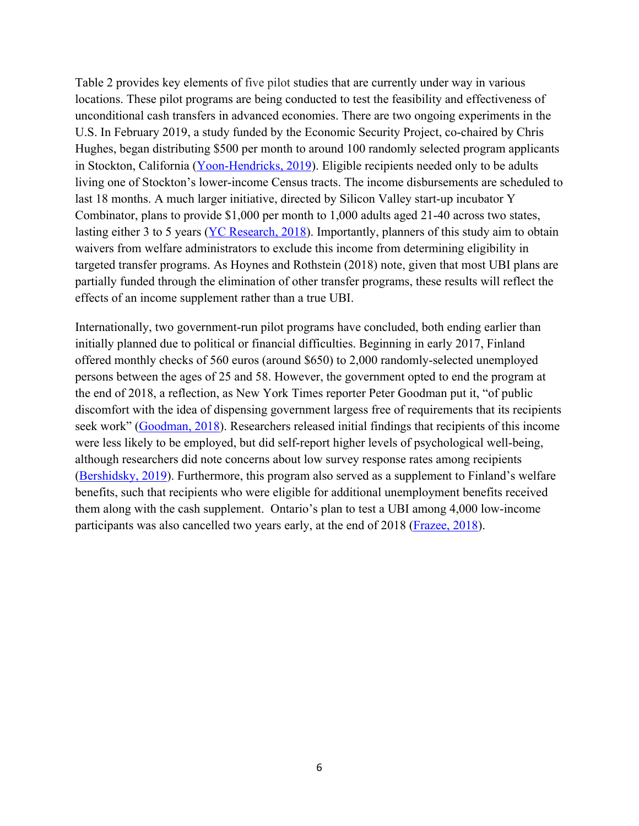Table 2 provides key elements of five pilot studies that are currently under way in various locations. These pilot programs are being conducted to test the feasibility and effectiveness of unconditional cash transfers in advanced economies. There are two ongoing experiments in the U.S. In February 2019, a study funded by the Economic Security Project, co-chaired by Chris Hughes, began distributing \$500 per month to around 100 randomly selected program applicants in Stockton, California (Yoon-Hendricks, 2019). Eligible recipients needed only to be adults living one of Stockton's lower-income Census tracts. The income disbursements are scheduled to last 18 months. A much larger initiative, directed by Silicon Valley start-up incubator Y Combinator, plans to provide \$1,000 per month to 1,000 adults aged 21-40 across two states, lasting either 3 to 5 years (YC Research, 2018). Importantly, planners of this study aim to obtain waivers from welfare administrators to exclude this income from determining eligibility in targeted transfer programs. As Hoynes and Rothstein (2018) note, given that most UBI plans are partially funded through the elimination of other transfer programs, these results will reflect the effects of an income supplement rather than a true UBI.

Internationally, two government-run pilot programs have concluded, both ending earlier than initially planned due to political or financial difficulties. Beginning in early 2017, Finland offered monthly checks of 560 euros (around \$650) to 2,000 randomly-selected unemployed persons between the ages of 25 and 58. However, the government opted to end the program at the end of 2018, a reflection, as New York Times reporter Peter Goodman put it, "of public discomfort with the idea of dispensing government largess free of requirements that its recipients seek work" (Goodman, 2018). Researchers released initial findings that recipients of this income were less likely to be employed, but did self-report higher levels of psychological well-being, although researchers did note concerns about low survey response rates among recipients (Bershidsky, 2019). Furthermore, this program also served as a supplement to Finland's welfare benefits, such that recipients who were eligible for additional unemployment benefits received them along with the cash supplement. Ontario's plan to test a UBI among 4,000 low-income participants was also cancelled two years early, at the end of 2018 (Frazee, 2018).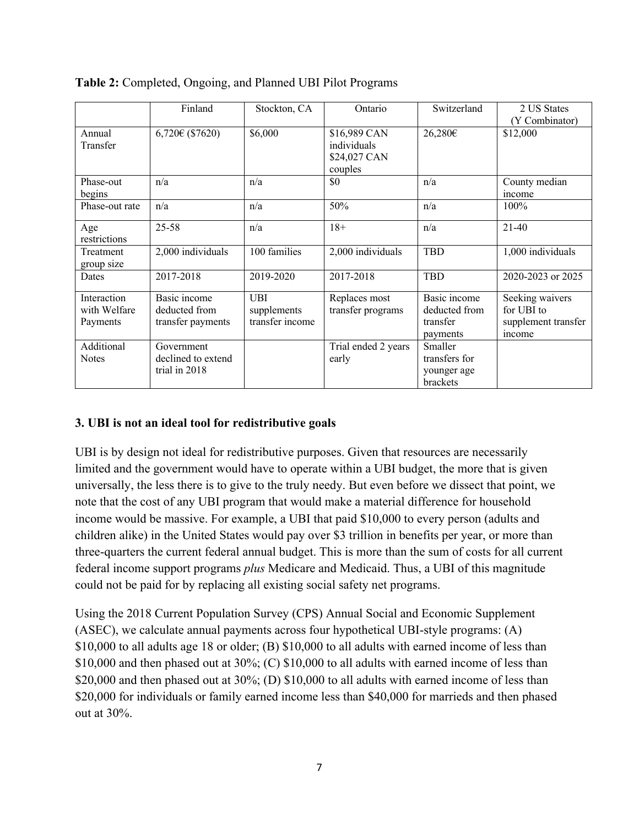|                                         | Finland                                            | Stockton, CA                                 | Ontario                                                | Switzerland                                           | 2 US States<br>(Y Combinator)                                  |
|-----------------------------------------|----------------------------------------------------|----------------------------------------------|--------------------------------------------------------|-------------------------------------------------------|----------------------------------------------------------------|
| Annual<br>Transfer                      | $6,720 \in (\$7620)$                               | \$6,000                                      | \$16,989 CAN<br>individuals<br>\$24,027 CAN<br>couples | 26,280€                                               | \$12,000                                                       |
| Phase-out<br>begins                     | n/a                                                | n/a                                          | \$0                                                    | n/a                                                   | County median<br>income                                        |
| Phase-out rate                          | n/a                                                | n/a                                          | 50%                                                    | n/a                                                   | $100\%$                                                        |
| Age<br>restrictions                     | $25 - 58$                                          | n/a                                          | $18+$                                                  | n/a                                                   | $21-40$                                                        |
| Treatment<br>group size                 | 2,000 individuals                                  | 100 families                                 | 2,000 individuals                                      | <b>TBD</b>                                            | 1,000 individuals                                              |
| Dates                                   | 2017-2018                                          | 2019-2020                                    | 2017-2018                                              | <b>TBD</b>                                            | 2020-2023 or 2025                                              |
| Interaction<br>with Welfare<br>Payments | Basic income<br>deducted from<br>transfer payments | <b>UBI</b><br>supplements<br>transfer income | Replaces most<br>transfer programs                     | Basic income<br>deducted from<br>transfer<br>payments | Seeking waivers<br>for UBI to<br>supplement transfer<br>income |
| Additional<br><b>Notes</b>              | Government<br>declined to extend<br>trial in 2018  |                                              | Trial ended 2 years<br>early                           | Smaller<br>transfers for<br>younger age<br>brackets   |                                                                |

| Table 2: Completed, Ongoing, and Planned UBI Pilot Programs |  |  |
|-------------------------------------------------------------|--|--|
|-------------------------------------------------------------|--|--|

## **3. UBI is not an ideal tool for redistributive goals**

UBI is by design not ideal for redistributive purposes. Given that resources are necessarily limited and the government would have to operate within a UBI budget, the more that is given universally, the less there is to give to the truly needy. But even before we dissect that point, we note that the cost of any UBI program that would make a material difference for household income would be massive. For example, a UBI that paid \$10,000 to every person (adults and children alike) in the United States would pay over \$3 trillion in benefits per year, or more than three-quarters the current federal annual budget. This is more than the sum of costs for all current federal income support programs *plus* Medicare and Medicaid. Thus, a UBI of this magnitude could not be paid for by replacing all existing social safety net programs.

Using the 2018 Current Population Survey (CPS) Annual Social and Economic Supplement (ASEC), we calculate annual payments across four hypothetical UBI-style programs: (A) \$10,000 to all adults age 18 or older; (B) \$10,000 to all adults with earned income of less than \$10,000 and then phased out at 30%; (C) \$10,000 to all adults with earned income of less than \$20,000 and then phased out at  $30\%$ ; (D) \$10,000 to all adults with earned income of less than \$20,000 for individuals or family earned income less than \$40,000 for marrieds and then phased out at 30%.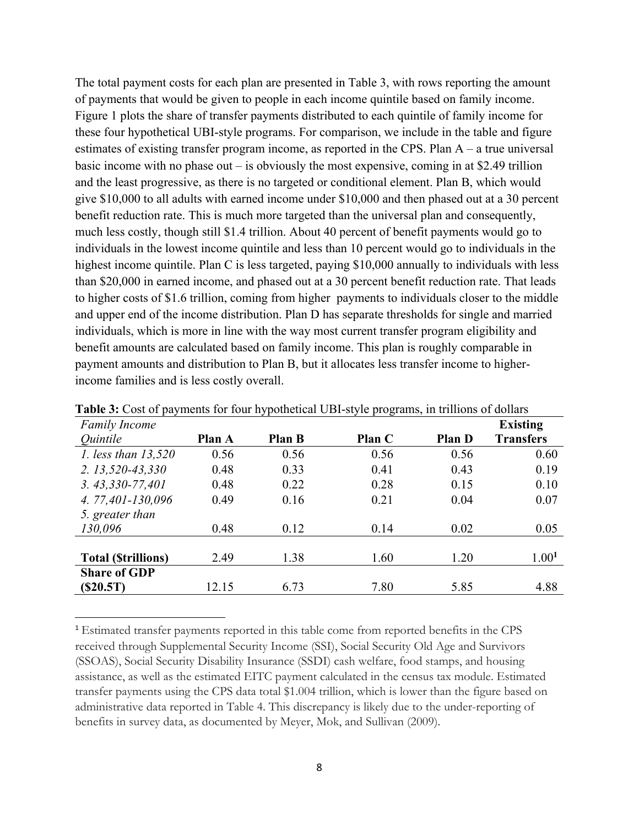The total payment costs for each plan are presented in Table 3, with rows reporting the amount of payments that would be given to people in each income quintile based on family income. Figure 1 plots the share of transfer payments distributed to each quintile of family income for these four hypothetical UBI-style programs. For comparison, we include in the table and figure estimates of existing transfer program income, as reported in the CPS. Plan A – a true universal basic income with no phase out – is obviously the most expensive, coming in at \$2.49 trillion and the least progressive, as there is no targeted or conditional element. Plan B, which would give \$10,000 to all adults with earned income under \$10,000 and then phased out at a 30 percent benefit reduction rate. This is much more targeted than the universal plan and consequently, much less costly, though still \$1.4 trillion. About 40 percent of benefit payments would go to individuals in the lowest income quintile and less than 10 percent would go to individuals in the highest income quintile. Plan C is less targeted, paying \$10,000 annually to individuals with less than \$20,000 in earned income, and phased out at a 30 percent benefit reduction rate. That leads to higher costs of \$1.6 trillion, coming from higher payments to individuals closer to the middle and upper end of the income distribution. Plan D has separate thresholds for single and married individuals, which is more in line with the way most current transfer program eligibility and benefit amounts are calculated based on family income. This plan is roughly comparable in payment amounts and distribution to Plan B, but it allocates less transfer income to higherincome families and is less costly overall.

| <b>Family Income</b>      |        |               |               |               | <b>Existing</b>   |
|---------------------------|--------|---------------|---------------|---------------|-------------------|
| Quintile                  | Plan A | <b>Plan B</b> | <b>Plan C</b> | <b>Plan D</b> | <b>Transfers</b>  |
| 1. less than 13,520       | 0.56   | 0.56          | 0.56          | 0.56          | 0.60              |
| $2.13,520 - 43,330$       | 0.48   | 0.33          | 0.41          | 0.43          | 0.19              |
| $3.43,330-77,401$         | 0.48   | 0.22          | 0.28          | 0.15          | 0.10              |
| 4.77,401-130,096          | 0.49   | 0.16          | 0.21          | 0.04          | 0.07              |
| 5. greater than           |        |               |               |               |                   |
| 130,096                   | 0.48   | 0.12          | 0.14          | 0.02          | 0.05              |
|                           |        |               |               |               |                   |
| <b>Total (Strillions)</b> | 2.49   | 1.38          | 1.60          | 1.20          | 1.00 <sup>1</sup> |
| <b>Share of GDP</b>       |        |               |               |               |                   |
| (S20.5T)                  | 12.15  | 6.73          | 7.80          | 5.85          | 4.88              |

**Table 3:** Cost of payments for four hypothetical UBI-style programs, in trillions of dollars

<sup>1</sup> Estimated transfer payments reported in this table come from reported benefits in the CPS received through Supplemental Security Income (SSI), Social Security Old Age and Survivors (SSOAS), Social Security Disability Insurance (SSDI) cash welfare, food stamps, and housing assistance, as well as the estimated EITC payment calculated in the census tax module. Estimated transfer payments using the CPS data total \$1.004 trillion, which is lower than the figure based on administrative data reported in Table 4. This discrepancy is likely due to the under-reporting of benefits in survey data, as documented by Meyer, Mok, and Sullivan (2009).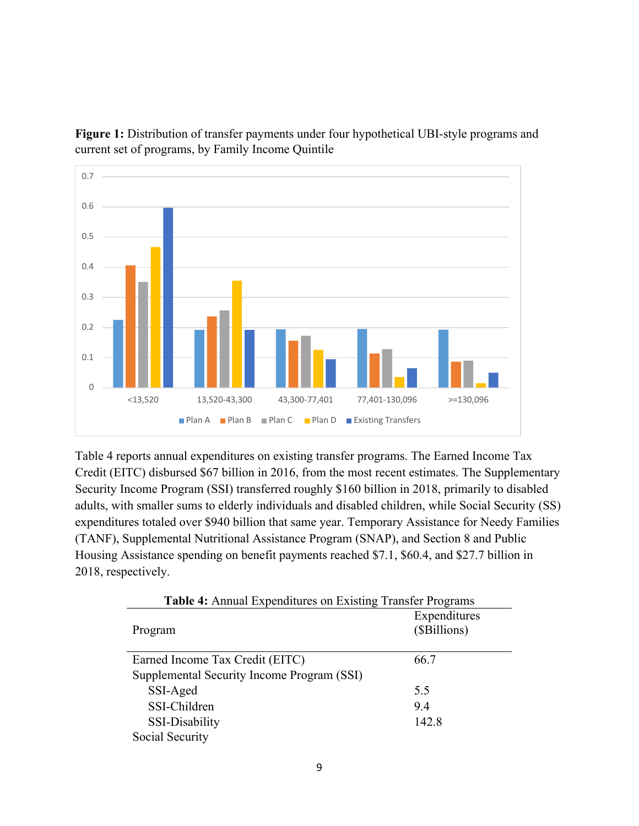

**Figure 1:** Distribution of transfer payments under four hypothetical UBI-style programs and current set of programs, by Family Income Quintile

Table 4 reports annual expenditures on existing transfer programs. The Earned Income Tax Credit (EITC) disbursed \$67 billion in 2016, from the most recent estimates. The Supplementary Security Income Program (SSI) transferred roughly \$160 billion in 2018, primarily to disabled adults, with smaller sums to elderly individuals and disabled children, while Social Security (SS) expenditures totaled over \$940 billion that same year. Temporary Assistance for Needy Families (TANF), Supplemental Nutritional Assistance Program (SNAP), and Section 8 and Public Housing Assistance spending on benefit payments reached \$7.1, \$60.4, and \$27.7 billion in 2018, respectively.

| <b>Table 4:</b> Annual Expenditures on Existing Transfer Programs |                              |
|-------------------------------------------------------------------|------------------------------|
| Program                                                           | Expenditures<br>(\$Billions) |
| Earned Income Tax Credit (EITC)                                   | 66.7                         |
| Supplemental Security Income Program (SSI)                        |                              |
| SSI-Aged                                                          | 5.5                          |
| SSI-Children                                                      | 9.4                          |
| SSI-Disability                                                    | 142.8                        |
| Social Security                                                   |                              |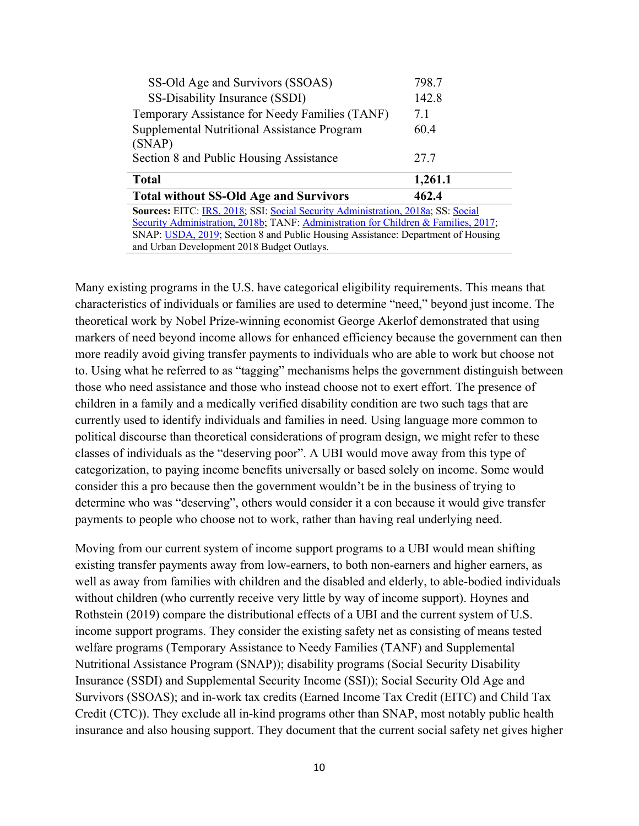| SS-Old Age and Survivors (SSOAS)                                                    | 798.7   |
|-------------------------------------------------------------------------------------|---------|
| SS-Disability Insurance (SSDI)                                                      | 142.8   |
| Temporary Assistance for Needy Families (TANF)                                      | 7.1     |
| Supplemental Nutritional Assistance Program                                         | 60.4    |
| (SNAP)                                                                              |         |
| Section 8 and Public Housing Assistance                                             | 27.7    |
|                                                                                     |         |
| <b>Total</b>                                                                        | 1,261.1 |
| <b>Total without SS-Old Age and Survivors</b>                                       | 462.4   |
| Sources: EITC: IRS, 2018; SSI: Social Security Administration, 2018a; SS: Social    |         |
| Security Administration, 2018b; TANF: Administration for Children & Families, 2017; |         |
| SNAP: USDA, 2019; Section 8 and Public Housing Assistance: Department of Housing    |         |

Many existing programs in the U.S. have categorical eligibility requirements. This means that characteristics of individuals or families are used to determine "need," beyond just income. The theoretical work by Nobel Prize-winning economist George Akerlof demonstrated that using markers of need beyond income allows for enhanced efficiency because the government can then more readily avoid giving transfer payments to individuals who are able to work but choose not to. Using what he referred to as "tagging" mechanisms helps the government distinguish between those who need assistance and those who instead choose not to exert effort. The presence of children in a family and a medically verified disability condition are two such tags that are currently used to identify individuals and families in need. Using language more common to political discourse than theoretical considerations of program design, we might refer to these classes of individuals as the "deserving poor". A UBI would move away from this type of categorization, to paying income benefits universally or based solely on income. Some would consider this a pro because then the government wouldn't be in the business of trying to determine who was "deserving", others would consider it a con because it would give transfer payments to people who choose not to work, rather than having real underlying need.

Moving from our current system of income support programs to a UBI would mean shifting existing transfer payments away from low-earners, to both non-earners and higher earners, as well as away from families with children and the disabled and elderly, to able-bodied individuals without children (who currently receive very little by way of income support). Hoynes and Rothstein (2019) compare the distributional effects of a UBI and the current system of U.S. income support programs. They consider the existing safety net as consisting of means tested welfare programs (Temporary Assistance to Needy Families (TANF) and Supplemental Nutritional Assistance Program (SNAP)); disability programs (Social Security Disability Insurance (SSDI) and Supplemental Security Income (SSI)); Social Security Old Age and Survivors (SSOAS); and in-work tax credits (Earned Income Tax Credit (EITC) and Child Tax Credit (CTC)). They exclude all in-kind programs other than SNAP, most notably public health insurance and also housing support. They document that the current social safety net gives higher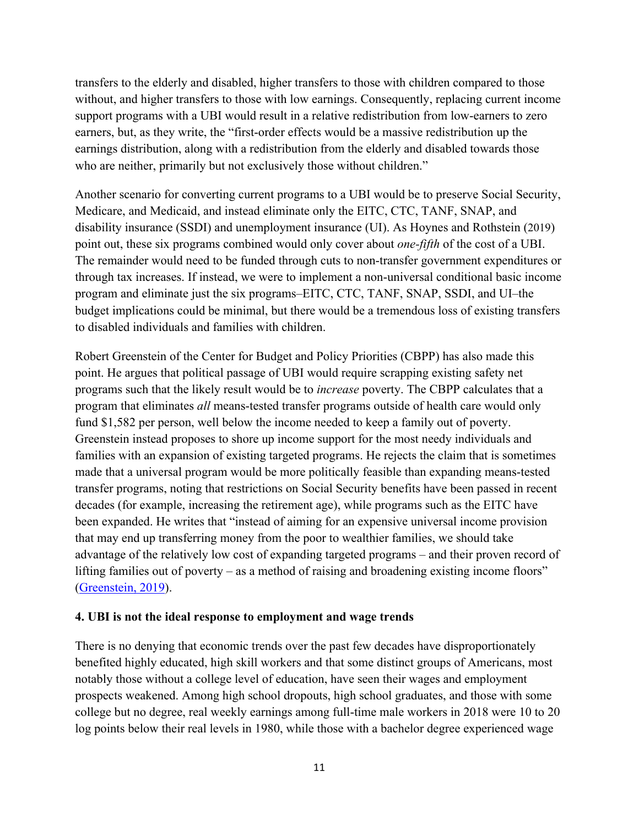transfers to the elderly and disabled, higher transfers to those with children compared to those without, and higher transfers to those with low earnings. Consequently, replacing current income support programs with a UBI would result in a relative redistribution from low-earners to zero earners, but, as they write, the "first-order effects would be a massive redistribution up the earnings distribution, along with a redistribution from the elderly and disabled towards those who are neither, primarily but not exclusively those without children."

Another scenario for converting current programs to a UBI would be to preserve Social Security, Medicare, and Medicaid, and instead eliminate only the EITC, CTC, TANF, SNAP, and disability insurance (SSDI) and unemployment insurance (UI). As Hoynes and Rothstein (2019) point out, these six programs combined would only cover about *one-fifth* of the cost of a UBI. The remainder would need to be funded through cuts to non-transfer government expenditures or through tax increases. If instead, we were to implement a non-universal conditional basic income program and eliminate just the six programs–EITC, CTC, TANF, SNAP, SSDI, and UI–the budget implications could be minimal, but there would be a tremendous loss of existing transfers to disabled individuals and families with children.

Robert Greenstein of the Center for Budget and Policy Priorities (CBPP) has also made this point. He argues that political passage of UBI would require scrapping existing safety net programs such that the likely result would be to *increase* poverty. The CBPP calculates that a program that eliminates *all* means-tested transfer programs outside of health care would only fund \$1,582 per person, well below the income needed to keep a family out of poverty. Greenstein instead proposes to shore up income support for the most needy individuals and families with an expansion of existing targeted programs. He rejects the claim that is sometimes made that a universal program would be more politically feasible than expanding means-tested transfer programs, noting that restrictions on Social Security benefits have been passed in recent decades (for example, increasing the retirement age), while programs such as the EITC have been expanded. He writes that "instead of aiming for an expensive universal income provision that may end up transferring money from the poor to wealthier families, we should take advantage of the relatively low cost of expanding targeted programs – and their proven record of lifting families out of poverty – as a method of raising and broadening existing income floors" (Greenstein, 2019).

## **4. UBI is not the ideal response to employment and wage trends**

There is no denying that economic trends over the past few decades have disproportionately benefited highly educated, high skill workers and that some distinct groups of Americans, most notably those without a college level of education, have seen their wages and employment prospects weakened. Among high school dropouts, high school graduates, and those with some college but no degree, real weekly earnings among full-time male workers in 2018 were 10 to 20 log points below their real levels in 1980, while those with a bachelor degree experienced wage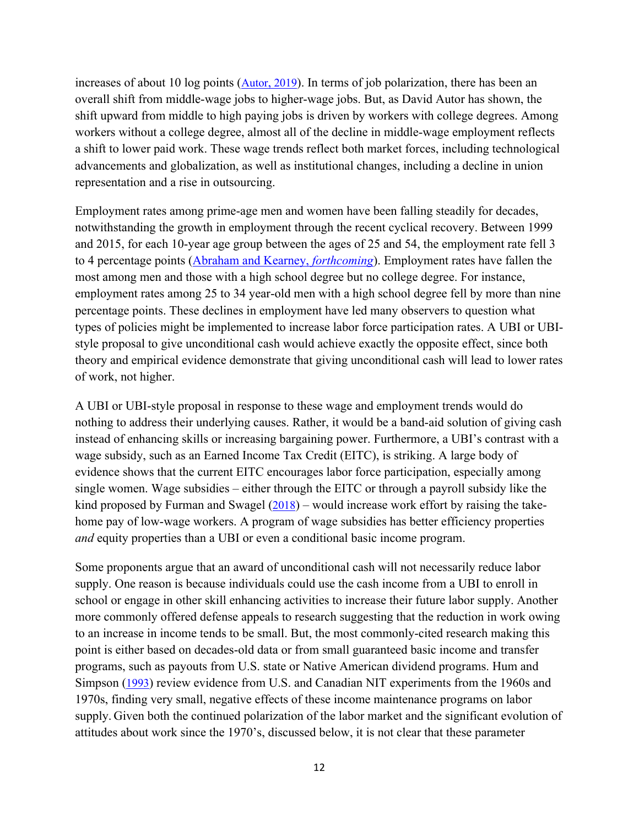increases of about 10 log points  $(Autor, 2019)$ . In terms of job polarization, there has been an overall shift from middle-wage jobs to higher-wage jobs. But, as David Autor has shown, the shift upward from middle to high paying jobs is driven by workers with college degrees. Among workers without a college degree, almost all of the decline in middle-wage employment reflects a shift to lower paid work. These wage trends reflect both market forces, including technological advancements and globalization, as well as institutional changes, including a decline in union representation and a rise in outsourcing.

Employment rates among prime-age men and women have been falling steadily for decades, notwithstanding the growth in employment through the recent cyclical recovery. Between 1999 and 2015, for each 10-year age group between the ages of 25 and 54, the employment rate fell 3 to 4 percentage points (Abraham and Kearney, *forthcoming*). Employment rates have fallen the most among men and those with a high school degree but no college degree. For instance, employment rates among 25 to 34 year-old men with a high school degree fell by more than nine percentage points. These declines in employment have led many observers to question what types of policies might be implemented to increase labor force participation rates. A UBI or UBIstyle proposal to give unconditional cash would achieve exactly the opposite effect, since both theory and empirical evidence demonstrate that giving unconditional cash will lead to lower rates of work, not higher.

A UBI or UBI-style proposal in response to these wage and employment trends would do nothing to address their underlying causes. Rather, it would be a band-aid solution of giving cash instead of enhancing skills or increasing bargaining power. Furthermore, a UBI's contrast with a wage subsidy, such as an Earned Income Tax Credit (EITC), is striking. A large body of evidence shows that the current EITC encourages labor force participation, especially among single women. Wage subsidies – either through the EITC or through a payroll subsidy like the kind proposed by Furman and Swagel  $(2018)$  – would increase work effort by raising the takehome pay of low-wage workers. A program of wage subsidies has better efficiency properties *and* equity properties than a UBI or even a conditional basic income program.

Some proponents argue that an award of unconditional cash will not necessarily reduce labor supply. One reason is because individuals could use the cash income from a UBI to enroll in school or engage in other skill enhancing activities to increase their future labor supply. Another more commonly offered defense appeals to research suggesting that the reduction in work owing to an increase in income tends to be small. But, the most commonly-cited research making this point is either based on decades-old data or from small guaranteed basic income and transfer programs, such as payouts from U.S. state or Native American dividend programs. Hum and Simpson (1993) review evidence from U.S. and Canadian NIT experiments from the 1960s and 1970s, finding very small, negative effects of these income maintenance programs on labor supply. Given both the continued polarization of the labor market and the significant evolution of attitudes about work since the 1970's, discussed below, it is not clear that these parameter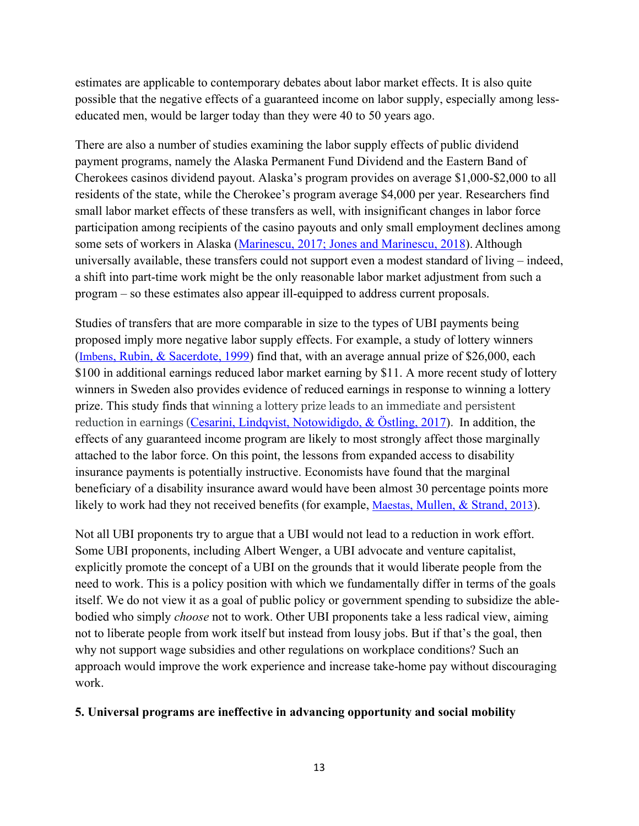estimates are applicable to contemporary debates about labor market effects. It is also quite possible that the negative effects of a guaranteed income on labor supply, especially among lesseducated men, would be larger today than they were 40 to 50 years ago.

There are also a number of studies examining the labor supply effects of public dividend payment programs, namely the Alaska Permanent Fund Dividend and the Eastern Band of Cherokees casinos dividend payout. Alaska's program provides on average \$1,000-\$2,000 to all residents of the state, while the Cherokee's program average \$4,000 per year. Researchers find small labor market effects of these transfers as well, with insignificant changes in labor force participation among recipients of the casino payouts and only small employment declines among some sets of workers in Alaska (Marinescu, 2017; Jones and Marinescu, 2018). Although universally available, these transfers could not support even a modest standard of living – indeed, a shift into part-time work might be the only reasonable labor market adjustment from such a program – so these estimates also appear ill-equipped to address current proposals.

Studies of transfers that are more comparable in size to the types of UBI payments being proposed imply more negative labor supply effects. For example, a study of lottery winners (Imbens, Rubin, & Sacerdote, 1999) find that, with an average annual prize of \$26,000, each \$100 in additional earnings reduced labor market earning by \$11. A more recent study of lottery winners in Sweden also provides evidence of reduced earnings in response to winning a lottery prize. This study finds that winning a lottery prize leads to an immediate and persistent reduction in earnings (Cesarini, Lindqvist, Notowidigdo, & Östling, 2017). In addition, the effects of any guaranteed income program are likely to most strongly affect those marginally attached to the labor force. On this point, the lessons from expanded access to disability insurance payments is potentially instructive. Economists have found that the marginal beneficiary of a disability insurance award would have been almost 30 percentage points more likely to work had they not received benefits (for example, Maestas, Mullen, & Strand, 2013).

Not all UBI proponents try to argue that a UBI would not lead to a reduction in work effort. Some UBI proponents, including Albert Wenger, a UBI advocate and venture capitalist, explicitly promote the concept of a UBI on the grounds that it would liberate people from the need to work. This is a policy position with which we fundamentally differ in terms of the goals itself. We do not view it as a goal of public policy or government spending to subsidize the ablebodied who simply *choose* not to work. Other UBI proponents take a less radical view, aiming not to liberate people from work itself but instead from lousy jobs. But if that's the goal, then why not support wage subsidies and other regulations on workplace conditions? Such an approach would improve the work experience and increase take-home pay without discouraging work.

## **5. Universal programs are ineffective in advancing opportunity and social mobility**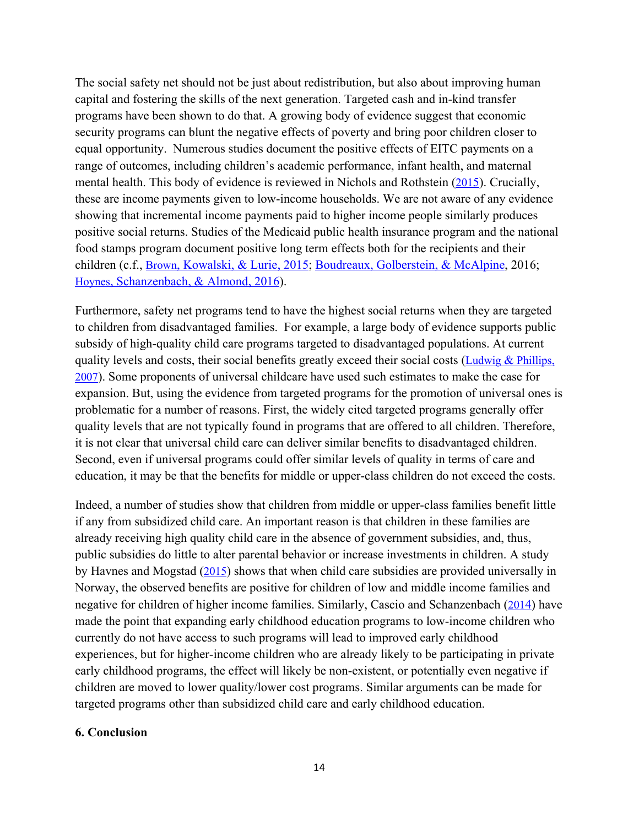The social safety net should not be just about redistribution, but also about improving human capital and fostering the skills of the next generation. Targeted cash and in-kind transfer programs have been shown to do that. A growing body of evidence suggest that economic security programs can blunt the negative effects of poverty and bring poor children closer to equal opportunity. Numerous studies document the positive effects of EITC payments on a range of outcomes, including children's academic performance, infant health, and maternal mental health. This body of evidence is reviewed in Nichols and Rothstein (2015). Crucially, these are income payments given to low-income households. We are not aware of any evidence showing that incremental income payments paid to higher income people similarly produces positive social returns. Studies of the Medicaid public health insurance program and the national food stamps program document positive long term effects both for the recipients and their children (c.f., Brown, Kowalski, & Lurie, 2015; Boudreaux, Golberstein, & McAlpine, 2016; Hoynes, Schanzenbach, & Almond, 2016).

Furthermore, safety net programs tend to have the highest social returns when they are targeted to children from disadvantaged families. For example, a large body of evidence supports public subsidy of high-quality child care programs targeted to disadvantaged populations. At current quality levels and costs, their social benefits greatly exceed their social costs (Ludwig & Phillips, 2007). Some proponents of universal childcare have used such estimates to make the case for expansion. But, using the evidence from targeted programs for the promotion of universal ones is problematic for a number of reasons. First, the widely cited targeted programs generally offer quality levels that are not typically found in programs that are offered to all children. Therefore, it is not clear that universal child care can deliver similar benefits to disadvantaged children. Second, even if universal programs could offer similar levels of quality in terms of care and education, it may be that the benefits for middle or upper-class children do not exceed the costs.

Indeed, a number of studies show that children from middle or upper-class families benefit little if any from subsidized child care. An important reason is that children in these families are already receiving high quality child care in the absence of government subsidies, and, thus, public subsidies do little to alter parental behavior or increase investments in children. A study by Havnes and Mogstad (2015) shows that when child care subsidies are provided universally in Norway, the observed benefits are positive for children of low and middle income families and negative for children of higher income families. Similarly, Cascio and Schanzenbach (2014) have made the point that expanding early childhood education programs to low-income children who currently do not have access to such programs will lead to improved early childhood experiences, but for higher-income children who are already likely to be participating in private early childhood programs, the effect will likely be non-existent, or potentially even negative if children are moved to lower quality/lower cost programs. Similar arguments can be made for targeted programs other than subsidized child care and early childhood education.

#### **6. Conclusion**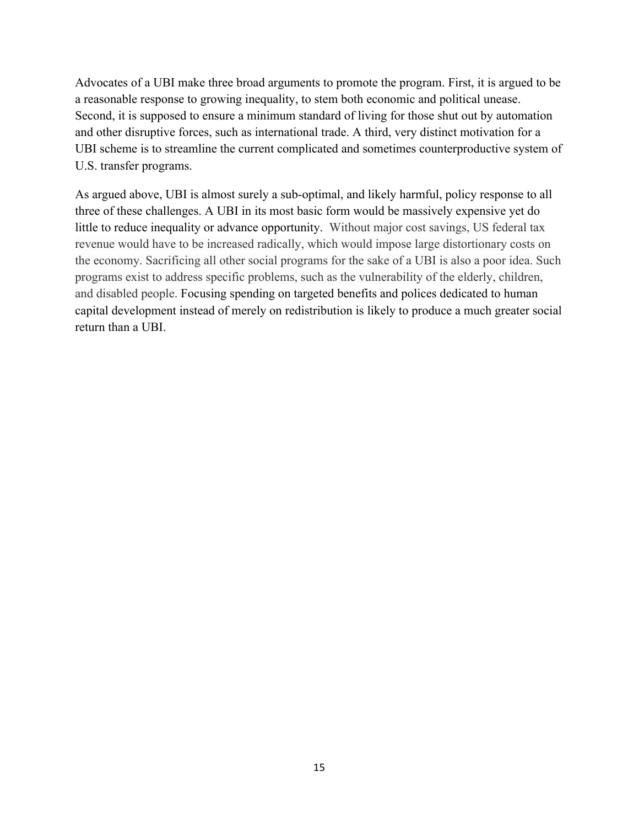Advocates of a UBI make three broad arguments to promote the program. First, it is argued to be a reasonable response to growing inequality, to stem both economic and political unease. Second, it is supposed to ensure a minimum standard of living for those shut out by automation and other disruptive forces, such as international trade. A third, very distinct motivation for a UBI scheme is to streamline the current complicated and sometimes counterproductive system of U.S. transfer programs.

As argued above, UBI is almost surely a sub-optimal, and likely harmful, policy response to all three of these challenges. A UBI in its most basic form would be massively expensive yet do little to reduce inequality or advance opportunity. Without major cost savings, US federal tax revenue would have to be increased radically, which would impose large distortionary costs on the economy. Sacrificing all other social programs for the sake of a UBI is also a poor idea. Such programs exist to address specific problems, such as the vulnerability of the elderly, children, and disabled people. Focusing spending on targeted benefits and polices dedicated to human capital development instead of merely on redistribution is likely to produce a much greater social return than a UBI.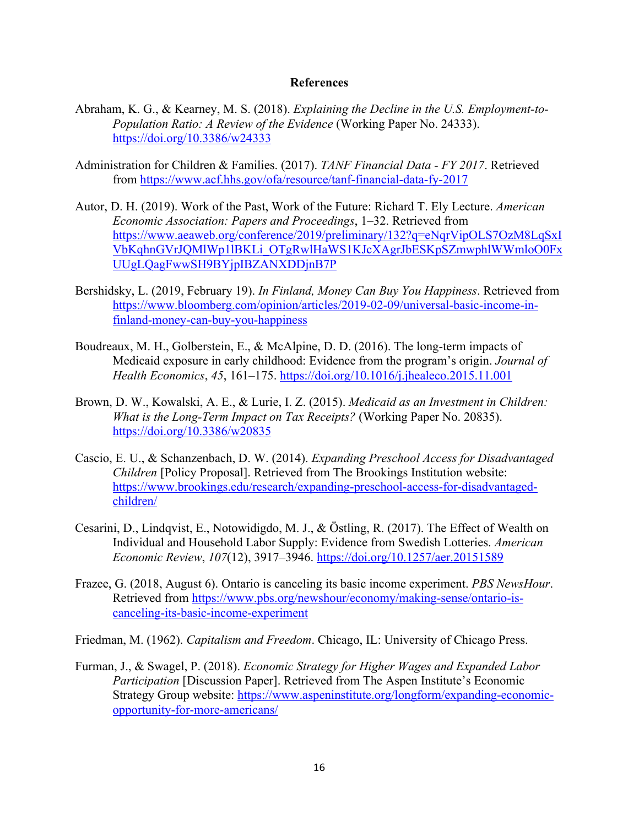#### **References**

- Abraham, K. G., & Kearney, M. S. (2018). *Explaining the Decline in the U.S. Employment-to-Population Ratio: A Review of the Evidence* (Working Paper No. 24333). https://doi.org/10.3386/w24333
- Administration for Children & Families. (2017). *TANF Financial Data - FY 2017*. Retrieved from https://www.acf.hhs.gov/ofa/resource/tanf-financial-data-fy-2017
- Autor, D. H. (2019). Work of the Past, Work of the Future: Richard T. Ely Lecture. *American Economic Association: Papers and Proceedings*, 1–32. Retrieved from https://www.aeaweb.org/conference/2019/preliminary/132?q=eNqrVipOLS7OzM8LqSxI VbKqhnGVrJQMlWp1lBKLi\_OTgRwlHaWS1KJcXAgrJbESKpSZmwphlWWmloO0Fx UUgLQagFwwSH9BYjpIBZANXDDjnB7P
- Bershidsky, L. (2019, February 19). *In Finland, Money Can Buy You Happiness*. Retrieved from https://www.bloomberg.com/opinion/articles/2019-02-09/universal-basic-income-infinland-money-can-buy-you-happiness
- Boudreaux, M. H., Golberstein, E., & McAlpine, D. D. (2016). The long-term impacts of Medicaid exposure in early childhood: Evidence from the program's origin. *Journal of Health Economics*, *45*, 161–175. https://doi.org/10.1016/j.jhealeco.2015.11.001
- Brown, D. W., Kowalski, A. E., & Lurie, I. Z. (2015). *Medicaid as an Investment in Children: What is the Long-Term Impact on Tax Receipts?* (Working Paper No. 20835). https://doi.org/10.3386/w20835
- Cascio, E. U., & Schanzenbach, D. W. (2014). *Expanding Preschool Access for Disadvantaged Children* [Policy Proposal]. Retrieved from The Brookings Institution website: https://www.brookings.edu/research/expanding-preschool-access-for-disadvantagedchildren/
- Cesarini, D., Lindqvist, E., Notowidigdo, M. J., & Östling, R. (2017). The Effect of Wealth on Individual and Household Labor Supply: Evidence from Swedish Lotteries. *American Economic Review*, *107*(12), 3917–3946. https://doi.org/10.1257/aer.20151589
- Frazee, G. (2018, August 6). Ontario is canceling its basic income experiment. *PBS NewsHour*. Retrieved from https://www.pbs.org/newshour/economy/making-sense/ontario-iscanceling-its-basic-income-experiment
- Friedman, M. (1962). *Capitalism and Freedom*. Chicago, IL: University of Chicago Press.
- Furman, J., & Swagel, P. (2018). *Economic Strategy for Higher Wages and Expanded Labor Participation* [Discussion Paper]. Retrieved from The Aspen Institute's Economic Strategy Group website: https://www.aspeninstitute.org/longform/expanding-economicopportunity-for-more-americans/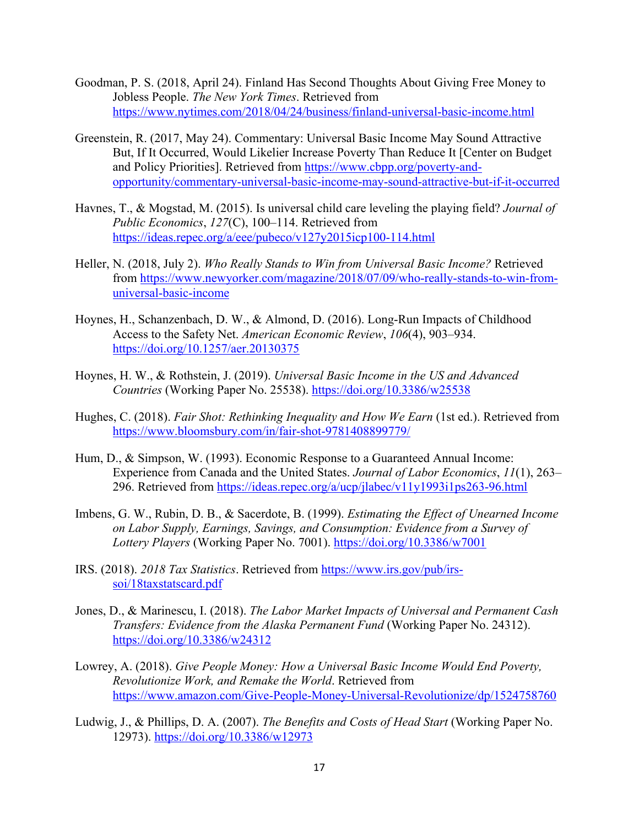- Goodman, P. S. (2018, April 24). Finland Has Second Thoughts About Giving Free Money to Jobless People. *The New York Times*. Retrieved from https://www.nytimes.com/2018/04/24/business/finland-universal-basic-income.html
- Greenstein, R. (2017, May 24). Commentary: Universal Basic Income May Sound Attractive But, If It Occurred, Would Likelier Increase Poverty Than Reduce It [Center on Budget and Policy Priorities]. Retrieved from https://www.cbpp.org/poverty-andopportunity/commentary-universal-basic-income-may-sound-attractive-but-if-it-occurred
- Havnes, T., & Mogstad, M. (2015). Is universal child care leveling the playing field? *Journal of Public Economics*, *127*(C), 100–114. Retrieved from https://ideas.repec.org/a/eee/pubeco/v127y2015icp100-114.html
- Heller, N. (2018, July 2). *Who Really Stands to Win from Universal Basic Income?* Retrieved from https://www.newyorker.com/magazine/2018/07/09/who-really-stands-to-win-fromuniversal-basic-income
- Hoynes, H., Schanzenbach, D. W., & Almond, D. (2016). Long-Run Impacts of Childhood Access to the Safety Net. *American Economic Review*, *106*(4), 903–934. https://doi.org/10.1257/aer.20130375
- Hoynes, H. W., & Rothstein, J. (2019). *Universal Basic Income in the US and Advanced Countries* (Working Paper No. 25538). https://doi.org/10.3386/w25538
- Hughes, C. (2018). *Fair Shot: Rethinking Inequality and How We Earn* (1st ed.). Retrieved from https://www.bloomsbury.com/in/fair-shot-9781408899779/
- Hum, D., & Simpson, W. (1993). Economic Response to a Guaranteed Annual Income: Experience from Canada and the United States. *Journal of Labor Economics*, *11*(1), 263– 296. Retrieved from https://ideas.repec.org/a/ucp/jlabec/v11y1993i1ps263-96.html
- Imbens, G. W., Rubin, D. B., & Sacerdote, B. (1999). *Estimating the Effect of Unearned Income on Labor Supply, Earnings, Savings, and Consumption: Evidence from a Survey of Lottery Players* (Working Paper No. 7001). https://doi.org/10.3386/w7001
- IRS. (2018). *2018 Tax Statistics*. Retrieved from https://www.irs.gov/pub/irssoi/18taxstatscard.pdf
- Jones, D., & Marinescu, I. (2018). *The Labor Market Impacts of Universal and Permanent Cash Transfers: Evidence from the Alaska Permanent Fund* (Working Paper No. 24312). https://doi.org/10.3386/w24312
- Lowrey, A. (2018). *Give People Money: How a Universal Basic Income Would End Poverty, Revolutionize Work, and Remake the World*. Retrieved from https://www.amazon.com/Give-People-Money-Universal-Revolutionize/dp/1524758760
- Ludwig, J., & Phillips, D. A. (2007). *The Benefits and Costs of Head Start* (Working Paper No. 12973). https://doi.org/10.3386/w12973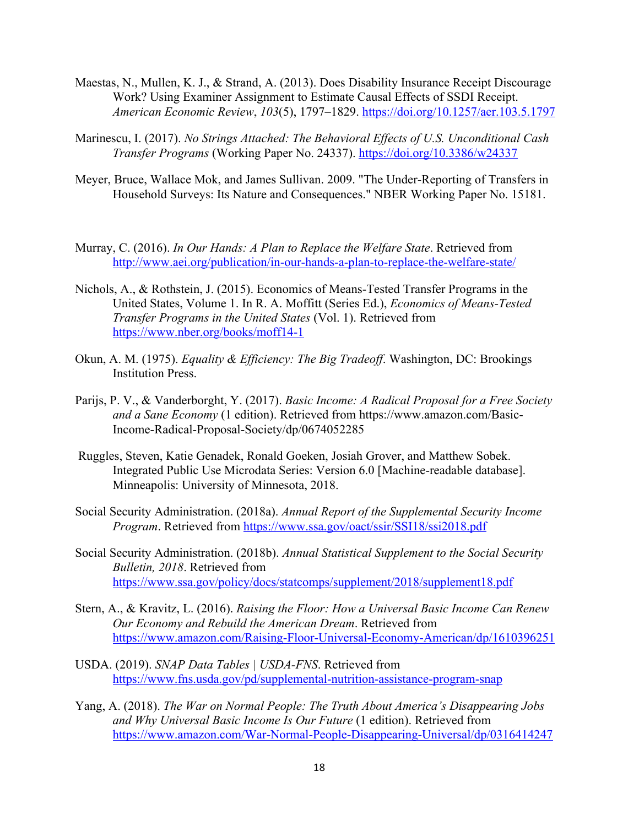- Maestas, N., Mullen, K. J., & Strand, A. (2013). Does Disability Insurance Receipt Discourage Work? Using Examiner Assignment to Estimate Causal Effects of SSDI Receipt. *American Economic Review*, *103*(5), 1797–1829. https://doi.org/10.1257/aer.103.5.1797
- Marinescu, I. (2017). *No Strings Attached: The Behavioral Effects of U.S. Unconditional Cash Transfer Programs* (Working Paper No. 24337). https://doi.org/10.3386/w24337
- Meyer, Bruce, Wallace Mok, and James Sullivan. 2009. "The Under-Reporting of Transfers in Household Surveys: Its Nature and Consequences." NBER Working Paper No. 15181.
- Murray, C. (2016). *In Our Hands: A Plan to Replace the Welfare State*. Retrieved from http://www.aei.org/publication/in-our-hands-a-plan-to-replace-the-welfare-state/
- Nichols, A., & Rothstein, J. (2015). Economics of Means-Tested Transfer Programs in the United States, Volume 1. In R. A. Moffitt (Series Ed.), *Economics of Means-Tested Transfer Programs in the United States* (Vol. 1). Retrieved from https://www.nber.org/books/moff14-1
- Okun, A. M. (1975). *Equality & Efficiency: The Big Tradeoff*. Washington, DC: Brookings Institution Press.
- Parijs, P. V., & Vanderborght, Y. (2017). *Basic Income: A Radical Proposal for a Free Society and a Sane Economy* (1 edition). Retrieved from https://www.amazon.com/Basic-Income-Radical-Proposal-Society/dp/0674052285
- Ruggles, Steven, Katie Genadek, Ronald Goeken, Josiah Grover, and Matthew Sobek. Integrated Public Use Microdata Series: Version 6.0 [Machine-readable database]. Minneapolis: University of Minnesota, 2018.
- Social Security Administration. (2018a). *Annual Report of the Supplemental Security Income Program*. Retrieved from https://www.ssa.gov/oact/ssir/SSI18/ssi2018.pdf
- Social Security Administration. (2018b). *Annual Statistical Supplement to the Social Security Bulletin, 2018*. Retrieved from https://www.ssa.gov/policy/docs/statcomps/supplement/2018/supplement18.pdf
- Stern, A., & Kravitz, L. (2016). *Raising the Floor: How a Universal Basic Income Can Renew Our Economy and Rebuild the American Dream*. Retrieved from https://www.amazon.com/Raising-Floor-Universal-Economy-American/dp/1610396251
- USDA. (2019). *SNAP Data Tables | USDA-FNS*. Retrieved from https://www.fns.usda.gov/pd/supplemental-nutrition-assistance-program-snap
- Yang, A. (2018). *The War on Normal People: The Truth About America's Disappearing Jobs and Why Universal Basic Income Is Our Future* (1 edition). Retrieved from https://www.amazon.com/War-Normal-People-Disappearing-Universal/dp/0316414247